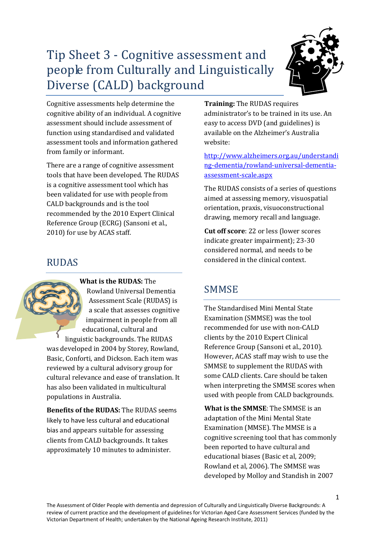# Tip Sheet 3 - Cognitive assessment and people from Culturally and Linguistically Diverse (CALD) background



Cognitive assessments help determine the cognitive ability of an individual. A cognitive assessment should include assessment of function using standardised and validated assessment tools and information gathered from family or informant.

There are a range of cognitive assessment tools that have been developed. The RUDAS is a cognitive assessment tool which has been validated for use with people from CALD backgrounds and is the tool recommended by the 2010 Expert Clinical Reference Group (ECRG) (Sansoni et al., 2010) for use by ACAS staff.

### RUDAS

**What is the RUDAS:** The Rowland Universal Dementia Assessment Scale (RUDAS) is a scale that assesses cognitive impairment in people from all educational, cultural and linguistic backgrounds. The RUDAS was developed in 2004 by Storey, Rowland, Basic, Conforti, and Dickson. Each item was reviewed by a cultural advisory group for cultural relevance and ease of translation. It has also been validated in multicultural populations in Australia.

**Benefits of the RUDAS:** The RUDAS seems likely to have less cultural and educational bias and appears suitable for assessing clients from CALD backgrounds. It takes approximately 10 minutes to administer.

**Training:** The RUDAS requires administrator's to be trained in its use. An easy to access DVD (and guidelines) is available on the Alzheimer's Australia website:

[http://www.alzheimers.org.au/understandi](http://www.alzheimers.org.au/understanding-dementia/rowland-universal-dementia-assessment-scale.aspx) [ng-dementia/rowland-universal-dementia](http://www.alzheimers.org.au/understanding-dementia/rowland-universal-dementia-assessment-scale.aspx)[assessment-scale.aspx](http://www.alzheimers.org.au/understanding-dementia/rowland-universal-dementia-assessment-scale.aspx) 

The RUDAS consists of a series of questions aimed at assessing memory, visuospatial orientation, praxis, visuoconstructional drawing, memory recall and language.

**Cut off score**: 22 or less (lower scores indicate greater impairment); 23-30 considered normal, and needs to be considered in the clinical context.

## **SMMSE**

The Standardised Mini Mental State Examination (SMMSE) was the tool recommended for use with non-CALD clients by the 2010 Expert Clinical Reference Group (Sansoni et al., 2010). However, ACAS staff may wish to use the SMMSE to supplement the RUDAS with some CALD clients. Care should be taken when interpreting the SMMSE scores when used with people from CALD backgrounds.

**What is the SMMSE**: The SMMSE is an adaptation of the Mini Mental State Examination (MMSE). The MMSE is a cognitive screening tool that has commonly been reported to have cultural and educational biases (Basic et al, 2009; Rowland et al, 2006). The SMMSE was developed by Molloy and Standish in 2007

The Assessment of Older People with dementia and depression of Culturally and Linguistically Diverse Backgrounds: A review of current practice and the development of guidelines for Victorian Aged Care Assessment Services (funded by the Victorian Department of Health; undertaken by the National Ageing Research Institute, 2011)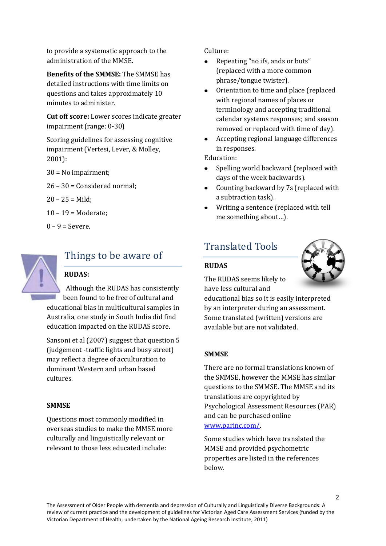to provide a systematic approach to the administration of the MMSE.

**Benefits of the SMMSE:** The SMMSE has detailed instructions with time limits on questions and takes approximately 10 minutes to administer.

**Cut off score:** Lower scores indicate greater impairment (range: 0-30)

Scoring guidelines for assessing cognitive impairment (Vertesi, Lever, & Molley, 2001):

30 = No impairment;

26 – 30 = Considered normal;

- $20 25 =$ Mild:
- 10 19 = Moderate;
- $0 9 =$  Severe.



## Things to be aware of

### **RUDAS:**

Although the RUDAS has consistently been found to be free of cultural and educational bias in multicultural samples in Australia, one study in South India did find education impacted on the RUDAS score.

Sansoni et al (2007) suggest that question 5 (judgement -traffic lights and busy street) may reflect a degree of acculturation to dominant Western and urban based cultures.

### **SMMSE**

Questions most commonly modified in overseas studies to make the MMSE more culturally and linguistically relevant or relevant to those less educated include:

Culture:

- $\bullet$ Repeating "no ifs, ands or buts" (replaced with a more common phrase/tongue twister).
- Orientation to time and place (replaced  $\bullet$ with regional names of places or terminology and accepting traditional calendar systems responses; and season removed or replaced with time of day).
- Accepting regional language differences in responses.

Education:

- Spelling world backward (replaced with  $\bullet$ days of the week backwards).
- Counting backward by 7s (replaced with a subtraction task).
- Writing a sentence (replaced with tell me something about…).

## Translated Tools

### **RUDAS**



The RUDAS seems likely to have less cultural and

educational bias so it is easily interpreted by an interpreter during an assessment. Some translated (written) versions are available but are not validated.

### **SMMSE**

There are no formal translations known of the SMMSE, however the MMSE has similar questions to the SMMSE. The MMSE and its translations are copyrighted by Psychological Assessment Resources (PAR) and can be purchased online [www.parinc.com/.](http://www.parinc.com/)

Some studies which have translated the MMSE and provided psychometric properties are listed in the references below.

The Assessment of Older People with dementia and depression of Culturally and Linguistically Diverse Backgrounds: A review of current practice and the development of guidelines for Victorian Aged Care Assessment Services (funded by the Victorian Department of Health; undertaken by the National Ageing Research Institute, 2011)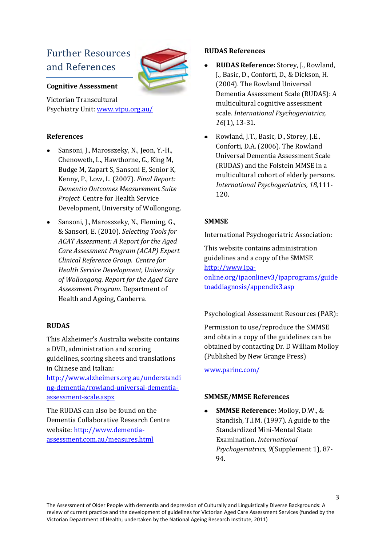## Further Resources and References



### **Cognitive Assessment**

Victorian Transcultural Psychiatry Unit[: www.vtpu.org.au/](http://www.vtpu.org.au/) 

### **References**

- Sansoni, J., Marosszeky, N., Jeon, Y.-H., Chenoweth, L., Hawthorne, G., King M, Budge M, Zapart S, Sansoni E, Senior K, Kenny, P., Low, L. (2007). *Final Report: Dementia Outcomes Measurement Suite Project*. Centre for Health Service Development, University of Wollongong.
- Sansoni, J., Marosszeky, N., Fleming, G., & Sansori, E. (2010). *Selecting Tools for ACAT Assessment: A Report for the Aged Care Assessment Program (ACAP) Expert Clinical Reference Group. Centre for Health Service Development, University of Wollongong. Report for the Aged Care Assessment Program.* Department of Health and Ageing, Canberra.

### **RUDAS**

This Alzheimer's Australia website contains a DVD, administration and scoring guidelines, scoring sheets and translations in Chinese and Italian:

[http://www.alzheimers.org.au/understandi](http://www.alzheimers.org.au/understanding-dementia/rowland-universal-dementia-assessment-scale.aspx) [ng-dementia/rowland-universal-dementia](http://www.alzheimers.org.au/understanding-dementia/rowland-universal-dementia-assessment-scale.aspx)[assessment-scale.aspx](http://www.alzheimers.org.au/understanding-dementia/rowland-universal-dementia-assessment-scale.aspx) 

The RUDAS can also be found on the Dementia Collaborative Research Centre website: [http://www.dementia](http://www.dementia-assessment.com.au/measures.html)[assessment.com.au/measures.html](http://www.dementia-assessment.com.au/measures.html)

### **RUDAS References**

- **RUDAS Reference:** Storey, J., Rowland, J., Basic, D., Conforti, D., & Dickson, H. (2004). The Rowland Universal Dementia Assessment Scale (RUDAS): A multicultural cognitive assessment scale. *International Psychogeriatrics, 16*(1), 13-31.
- Rowland, J.T., Basic, D., Storey, J.E.,  $\bullet$ Conforti, D.A. (2006). The Rowland Universal Dementia Assessment Scale (RUDAS) and the Folstein MMSE in a multicultural cohort of elderly persons. *International Psychogeriatrics, 18,*111- 120.

### **SMMSE**

### International Psychogeriatric Association:

This website contains administration guidelines and a copy of the SMMSE [http://www.ipa](http://www.ipa-online.org/ipaonlinev3/ipaprograms/guidetoaddiagnosis/appendix3.asp)[online.org/ipaonlinev3/ipaprograms/guide](http://www.ipa-online.org/ipaonlinev3/ipaprograms/guidetoaddiagnosis/appendix3.asp) [toaddiagnosis/appendix3.asp](http://www.ipa-online.org/ipaonlinev3/ipaprograms/guidetoaddiagnosis/appendix3.asp)

### Psychological Assessment Resources (PAR):

Permission to use/reproduce the SMMSE and obtain a copy of the guidelines can be obtained by contacting Dr. D William Molloy (Published by New Grange Press)

[www.parinc.com/](http://www.parinc.com/) 

### **SMMSE/MMSE References**

 $\bullet$ **SMMSE Reference:** Molloy, D.W., & Standish, T.I.M. (1997). A guide to the Standardized Mini-Mental State Examination. *International Psychogeriatrics, 9*(Supplement 1), 87- 94.